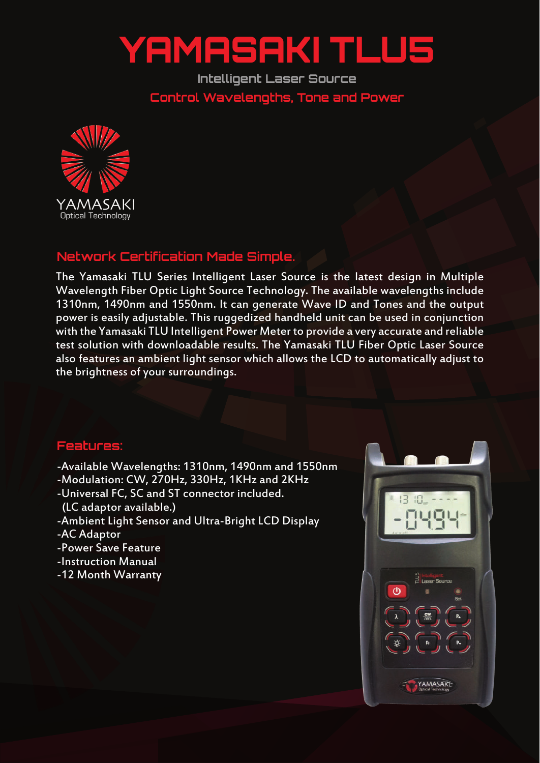## YAMASAKI TLU5

**Intelligent Laser Source Control Wavelengths, Tone and Power**



## **Network Certification Made Simple.**

The Yamasaki TLU Series Intelligent Laser Source is the latest design in Multiple Wavelength Fiber Optic Light Source Technology. The available wavelengths include 1310nm, 1490nm and 1550nm. It can generate Wave ID and Tones and the output power is easily adjustable. This ruggedized handheld unit can be used in conjunction with the Yamasaki TLU Intelligent Power Meter to provide a very accurate and reliable test solution with downloadable results. The Yamasaki TLU Fiber Optic Laser Source also features an ambient light sensor which allows the LCD to automatically adjust to the brightness of your surroundings.

## **Features:**

- -Available Wavelengths: 1310nm, 1490nm and 1550nm
- -Modulation: CW, 270Hz, 330Hz, 1KHz and 2KHz
- -Universal FC, SC and ST connector included.
- (LC adaptor available.)
- -Ambient Light Sensor and Ultra-Bright LCD Display
- -AC Adaptor
- -Power Save Feature
- -Instruction Manual
- -12 Month Warranty